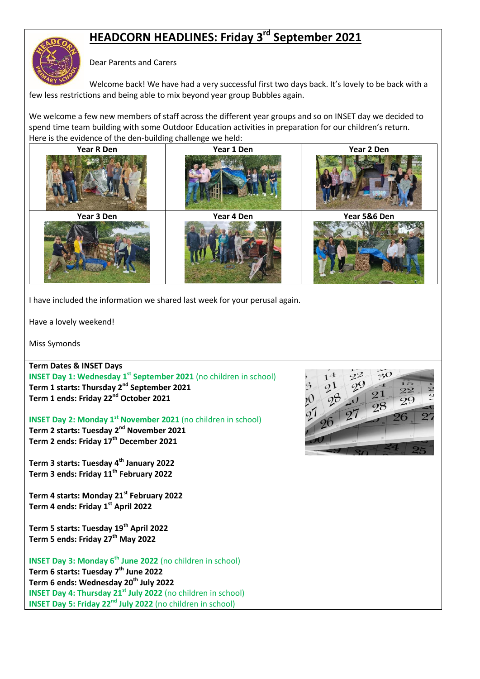# **HEADCORN HEADLINES: Friday 3 rd September 2021**

# Dear Parents and Carers

Welcome back! We have had a very successful first two days back. It's lovely to be back with a few less restrictions and being able to mix beyond year group Bubbles again.

We welcome a few new members of staff across the different year groups and so on INSET day we decided to spend time team building with some Outdoor Education activities in preparation for our children's return. Here is the evidence of the den-building challenge we held:



I have included the information we shared last week for your perusal again.

Have a lovely weekend!

Miss Symonds

# **Term Dates & INSET Days**

**INSET Day 1: Wednesday 1<sup>st</sup> September 2021** (no children in school) **Term 1 starts: Thursday 2nd September 2021 Term 1 ends: Friday 22nd October 2021**

**INSET Day 2: Monday 1st November 2021** (no children in school)

**Term 2 starts: Tuesday 2nd November 2021 Term 2 ends: Friday 17th December 2021**

**Term 3 starts: Tuesday 4th January 2022 Term 3 ends: Friday 11th February 2022**

**Term 4 starts: Monday 21st February 2022 Term 4 ends: Friday 1st April 2022**

**Term 5 starts: Tuesday 19th April 2022 Term 5 ends: Friday 27th May 2022**

**INSET Day 3: Monday 6th June 2022** (no children in school) **Term 6 starts: Tuesday 7th June 2022 Term 6 ends: Wednesday 20th July 2022 INSET Day 4: Thursday 21st July 2022** (no children in school) **INSET Day 5: Friday 22nd July 2022** (no children in school)

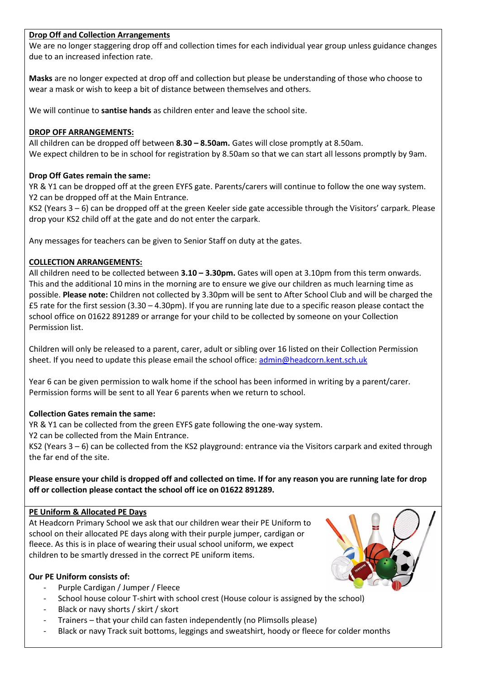## **Drop Off and Collection Arrangements**

We are no longer staggering drop off and collection times for each individual year group unless guidance changes due to an increased infection rate.

**Masks** are no longer expected at drop off and collection but please be understanding of those who choose to wear a mask or wish to keep a bit of distance between themselves and others.

We will continue to **santise hands** as children enter and leave the school site.

## **DROP OFF ARRANGEMENTS:**

All children can be dropped off between **8.30 – 8.50am.** Gates will close promptly at 8.50am. We expect children to be in school for registration by 8.50am so that we can start all lessons promptly by 9am.

# **Drop Off Gates remain the same:**

YR & Y1 can be dropped off at the green EYFS gate. Parents/carers will continue to follow the one way system. Y2 can be dropped off at the Main Entrance.

KS2 (Years 3 – 6) can be dropped off at the green Keeler side gate accessible through the Visitors' carpark. Please drop your KS2 child off at the gate and do not enter the carpark.

Any messages for teachers can be given to Senior Staff on duty at the gates.

## **COLLECTION ARRANGEMENTS:**

All children need to be collected between **3.10 – 3.30pm.** Gates will open at 3.10pm from this term onwards. This and the additional 10 mins in the morning are to ensure we give our children as much learning time as possible. **Please note:** Children not collected by 3.30pm will be sent to After School Club and will be charged the  $£5$  rate for the first session (3.30 – 4.30pm). If you are running late due to a specific reason please contact the school office on 01622 891289 or arrange for your child to be collected by someone on your Collection Permission list.

Children will only be released to a parent, carer, adult or sibling over 16 listed on their Collection Permission sheet. If you need to update this please email the school office: [admin@headcorn.kent.sch.uk](mailto:admin@headcorn.kent.sch.uk)

Year 6 can be given permission to walk home if the school has been informed in writing by a parent/carer. Permission forms will be sent to all Year 6 parents when we return to school.

#### **Collection Gates remain the same:**

YR & Y1 can be collected from the green EYFS gate following the one-way system.

Y2 can be collected from the Main Entrance.

KS2 (Years 3 – 6) can be collected from the KS2 playground: entrance via the Visitors carpark and exited through the far end of the site.

# **Please ensure your child is dropped off and collected on time. If for any reason you are running late for drop off or collection please contact the school off ice on 01622 891289.**

## **PE Uniform & Allocated PE Days**

At Headcorn Primary School we ask that our children wear their PE Uniform to school on their allocated PE days along with their purple jumper, cardigan or fleece. As this is in place of wearing their usual school uniform, we expect children to be smartly dressed in the correct PE uniform items.

#### **Our PE Uniform consists of:**

- Purple Cardigan / Jumper / Fleece
- School house colour T-shirt with school crest (House colour is assigned by the school)
- Black or navy shorts / skirt / skort
- Trainers that your child can fasten independently (no Plimsolls please)
- Black or navy Track suit bottoms, leggings and sweatshirt, hoody or fleece for colder months